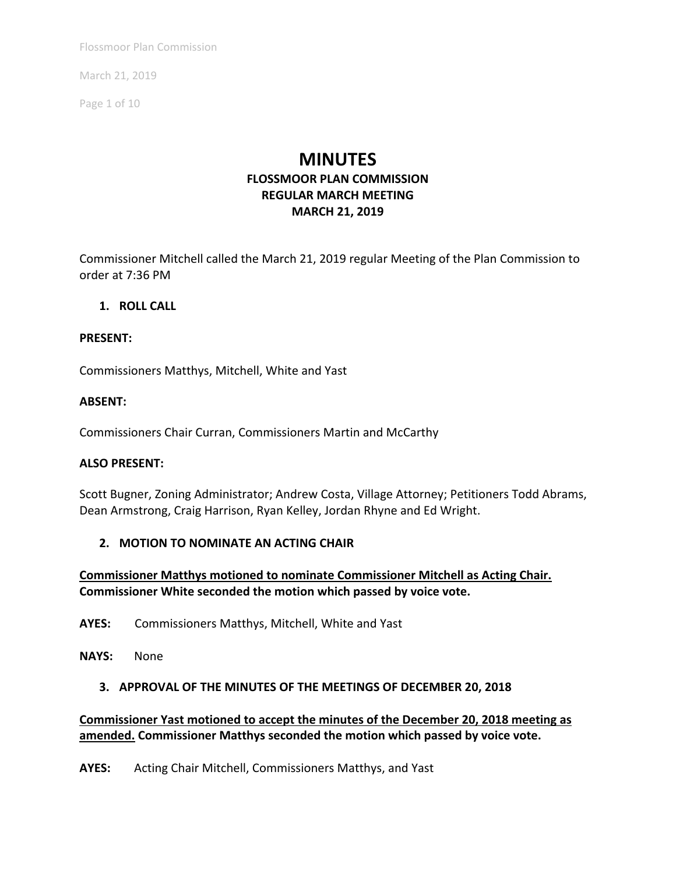March 21, 2019

Page 1 of 10

# **MINUTES**

# **FLOSSMOOR PLAN COMMISSION REGULAR MARCH MEETING MARCH 21, 2019**

Commissioner Mitchell called the March 21, 2019 regular Meeting of the Plan Commission to order at 7:36 PM

### **1. ROLL CALL**

### **PRESENT:**

Commissioners Matthys, Mitchell, White and Yast

### **ABSENT:**

Commissioners Chair Curran, Commissioners Martin and McCarthy

### **ALSO PRESENT:**

Scott Bugner, Zoning Administrator; Andrew Costa, Village Attorney; Petitioners Todd Abrams, Dean Armstrong, Craig Harrison, Ryan Kelley, Jordan Rhyne and Ed Wright.

### **2. MOTION TO NOMINATE AN ACTING CHAIR**

**Commissioner Matthys motioned to nominate Commissioner Mitchell as Acting Chair. Commissioner White seconded the motion which passed by voice vote.** 

**AYES:** Commissioners Matthys, Mitchell, White and Yast

**NAYS:** None

### **3. APPROVAL OF THE MINUTES OF THE MEETINGS OF DECEMBER 20, 2018**

**Commissioner Yast motioned to accept the minutes of the December 20, 2018 meeting as amended. Commissioner Matthys seconded the motion which passed by voice vote.** 

**AYES:** Acting Chair Mitchell, Commissioners Matthys, and Yast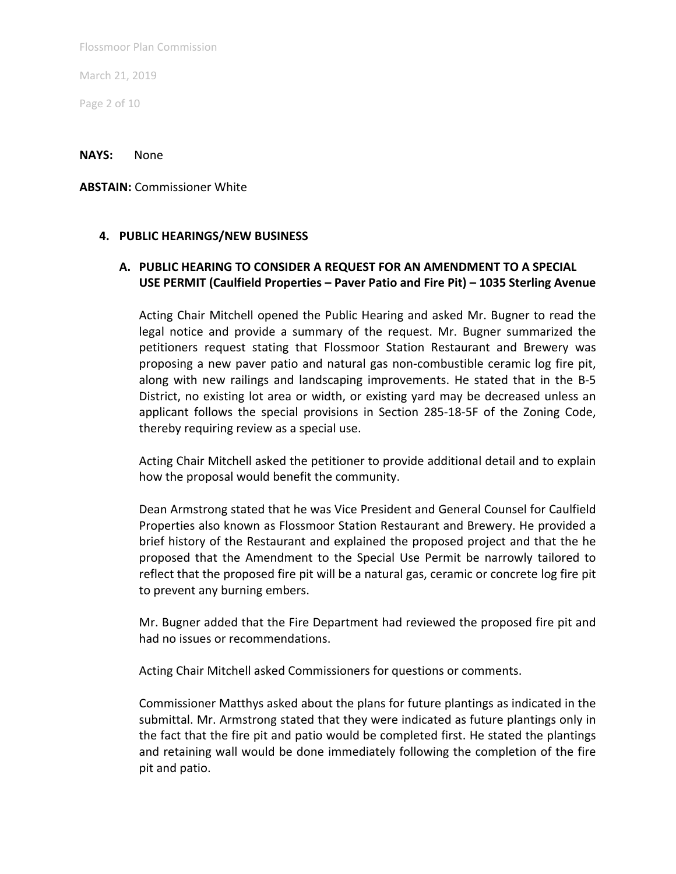March 21, 2019

Page 2 of 10

**NAYS:** None

**ABSTAIN:** Commissioner White

### **4. PUBLIC HEARINGS/NEW BUSINESS**

### **A. PUBLIC HEARING TO CONSIDER A REQUEST FOR AN AMENDMENT TO A SPECIAL USE PERMIT (Caulfield Properties – Paver Patio and Fire Pit) – 1035 Sterling Avenue**

Acting Chair Mitchell opened the Public Hearing and asked Mr. Bugner to read the legal notice and provide a summary of the request. Mr. Bugner summarized the petitioners request stating that Flossmoor Station Restaurant and Brewery was proposing a new paver patio and natural gas non‐combustible ceramic log fire pit, along with new railings and landscaping improvements. He stated that in the B-5 District, no existing lot area or width, or existing yard may be decreased unless an applicant follows the special provisions in Section 285-18-5F of the Zoning Code, thereby requiring review as a special use.

Acting Chair Mitchell asked the petitioner to provide additional detail and to explain how the proposal would benefit the community.

Dean Armstrong stated that he was Vice President and General Counsel for Caulfield Properties also known as Flossmoor Station Restaurant and Brewery. He provided a brief history of the Restaurant and explained the proposed project and that the he proposed that the Amendment to the Special Use Permit be narrowly tailored to reflect that the proposed fire pit will be a natural gas, ceramic or concrete log fire pit to prevent any burning embers.

Mr. Bugner added that the Fire Department had reviewed the proposed fire pit and had no issues or recommendations.

Acting Chair Mitchell asked Commissioners for questions or comments.

Commissioner Matthys asked about the plans for future plantings as indicated in the submittal. Mr. Armstrong stated that they were indicated as future plantings only in the fact that the fire pit and patio would be completed first. He stated the plantings and retaining wall would be done immediately following the completion of the fire pit and patio.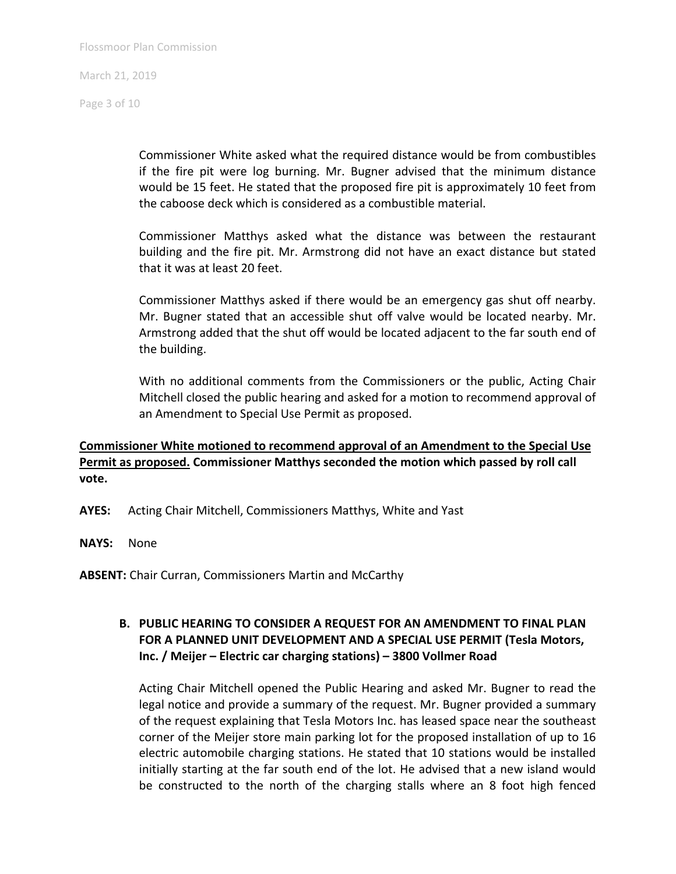Page 3 of 10

Commissioner White asked what the required distance would be from combustibles if the fire pit were log burning. Mr. Bugner advised that the minimum distance would be 15 feet. He stated that the proposed fire pit is approximately 10 feet from the caboose deck which is considered as a combustible material.

Commissioner Matthys asked what the distance was between the restaurant building and the fire pit. Mr. Armstrong did not have an exact distance but stated that it was at least 20 feet.

Commissioner Matthys asked if there would be an emergency gas shut off nearby. Mr. Bugner stated that an accessible shut off valve would be located nearby. Mr. Armstrong added that the shut off would be located adjacent to the far south end of the building.

With no additional comments from the Commissioners or the public, Acting Chair Mitchell closed the public hearing and asked for a motion to recommend approval of an Amendment to Special Use Permit as proposed.

### **Commissioner White motioned to recommend approval of an Amendment to the Special Use Permit as proposed. Commissioner Matthys seconded the motion which passed by roll call vote.**

- **AYES:** Acting Chair Mitchell, Commissioners Matthys, White and Yast
- **NAYS:** None

**ABSENT:** Chair Curran, Commissioners Martin and McCarthy

## **B. PUBLIC HEARING TO CONSIDER A REQUEST FOR AN AMENDMENT TO FINAL PLAN FOR A PLANNED UNIT DEVELOPMENT AND A SPECIAL USE PERMIT (Tesla Motors, Inc. / Meijer – Electric car charging stations) – 3800 Vollmer Road**

Acting Chair Mitchell opened the Public Hearing and asked Mr. Bugner to read the legal notice and provide a summary of the request. Mr. Bugner provided a summary of the request explaining that Tesla Motors Inc. has leased space near the southeast corner of the Meijer store main parking lot for the proposed installation of up to 16 electric automobile charging stations. He stated that 10 stations would be installed initially starting at the far south end of the lot. He advised that a new island would be constructed to the north of the charging stalls where an 8 foot high fenced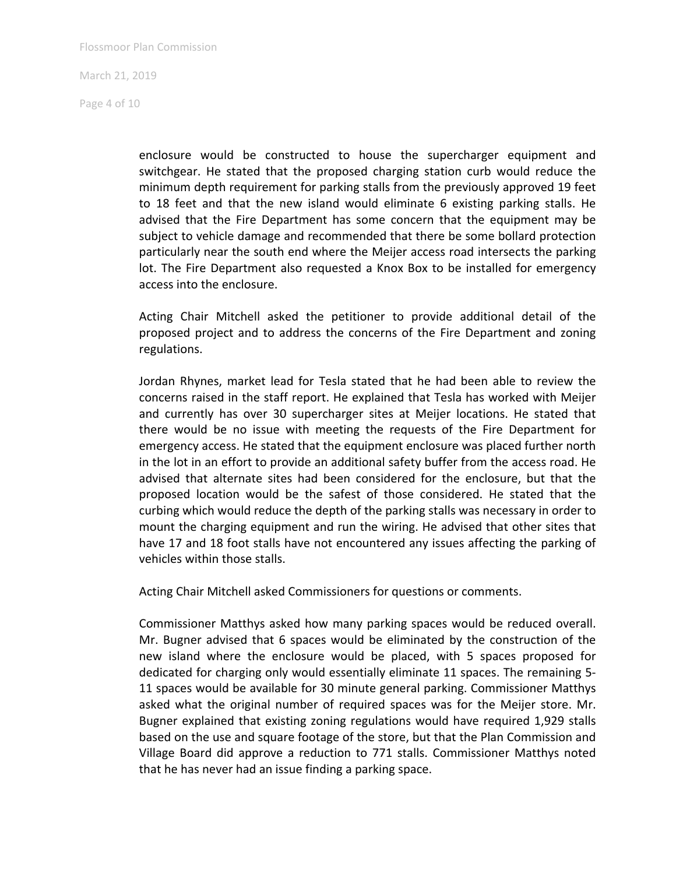Page 4 of 10

enclosure would be constructed to house the supercharger equipment and switchgear. He stated that the proposed charging station curb would reduce the minimum depth requirement for parking stalls from the previously approved 19 feet to 18 feet and that the new island would eliminate 6 existing parking stalls. He advised that the Fire Department has some concern that the equipment may be subject to vehicle damage and recommended that there be some bollard protection particularly near the south end where the Meijer access road intersects the parking lot. The Fire Department also requested a Knox Box to be installed for emergency access into the enclosure.

Acting Chair Mitchell asked the petitioner to provide additional detail of the proposed project and to address the concerns of the Fire Department and zoning regulations.

Jordan Rhynes, market lead for Tesla stated that he had been able to review the concerns raised in the staff report. He explained that Tesla has worked with Meijer and currently has over 30 supercharger sites at Meijer locations. He stated that there would be no issue with meeting the requests of the Fire Department for emergency access. He stated that the equipment enclosure was placed further north in the lot in an effort to provide an additional safety buffer from the access road. He advised that alternate sites had been considered for the enclosure, but that the proposed location would be the safest of those considered. He stated that the curbing which would reduce the depth of the parking stalls was necessary in order to mount the charging equipment and run the wiring. He advised that other sites that have 17 and 18 foot stalls have not encountered any issues affecting the parking of vehicles within those stalls.

Acting Chair Mitchell asked Commissioners for questions or comments.

Commissioner Matthys asked how many parking spaces would be reduced overall. Mr. Bugner advised that 6 spaces would be eliminated by the construction of the new island where the enclosure would be placed, with 5 spaces proposed for dedicated for charging only would essentially eliminate 11 spaces. The remaining 5‐ 11 spaces would be available for 30 minute general parking. Commissioner Matthys asked what the original number of required spaces was for the Meijer store. Mr. Bugner explained that existing zoning regulations would have required 1,929 stalls based on the use and square footage of the store, but that the Plan Commission and Village Board did approve a reduction to 771 stalls. Commissioner Matthys noted that he has never had an issue finding a parking space.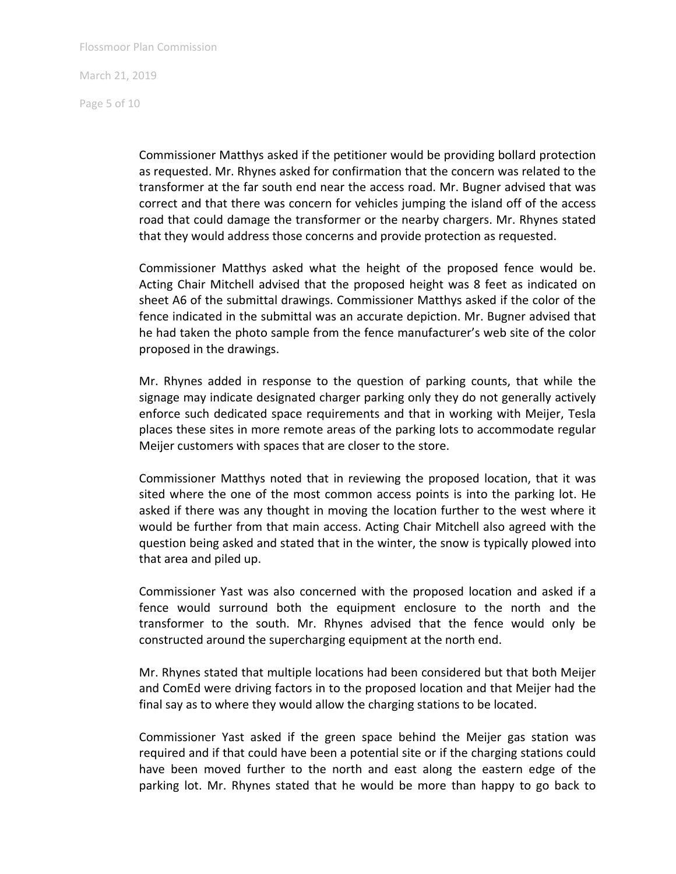March 21, 2019

Page 5 of 10

Commissioner Matthys asked if the petitioner would be providing bollard protection as requested. Mr. Rhynes asked for confirmation that the concern was related to the transformer at the far south end near the access road. Mr. Bugner advised that was correct and that there was concern for vehicles jumping the island off of the access road that could damage the transformer or the nearby chargers. Mr. Rhynes stated that they would address those concerns and provide protection as requested.

Commissioner Matthys asked what the height of the proposed fence would be. Acting Chair Mitchell advised that the proposed height was 8 feet as indicated on sheet A6 of the submittal drawings. Commissioner Matthys asked if the color of the fence indicated in the submittal was an accurate depiction. Mr. Bugner advised that he had taken the photo sample from the fence manufacturer's web site of the color proposed in the drawings.

Mr. Rhynes added in response to the question of parking counts, that while the signage may indicate designated charger parking only they do not generally actively enforce such dedicated space requirements and that in working with Meijer, Tesla places these sites in more remote areas of the parking lots to accommodate regular Meijer customers with spaces that are closer to the store.

Commissioner Matthys noted that in reviewing the proposed location, that it was sited where the one of the most common access points is into the parking lot. He asked if there was any thought in moving the location further to the west where it would be further from that main access. Acting Chair Mitchell also agreed with the question being asked and stated that in the winter, the snow is typically plowed into that area and piled up.

Commissioner Yast was also concerned with the proposed location and asked if a fence would surround both the equipment enclosure to the north and the transformer to the south. Mr. Rhynes advised that the fence would only be constructed around the supercharging equipment at the north end.

Mr. Rhynes stated that multiple locations had been considered but that both Meijer and ComEd were driving factors in to the proposed location and that Meijer had the final say as to where they would allow the charging stations to be located.

Commissioner Yast asked if the green space behind the Meijer gas station was required and if that could have been a potential site or if the charging stations could have been moved further to the north and east along the eastern edge of the parking lot. Mr. Rhynes stated that he would be more than happy to go back to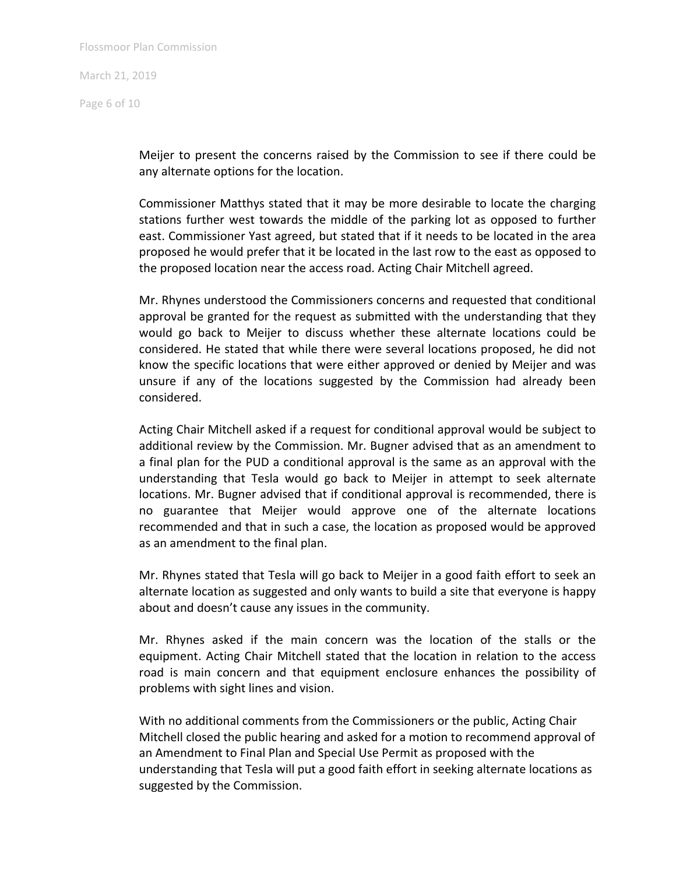Page 6 of 10

Meijer to present the concerns raised by the Commission to see if there could be any alternate options for the location.

Commissioner Matthys stated that it may be more desirable to locate the charging stations further west towards the middle of the parking lot as opposed to further east. Commissioner Yast agreed, but stated that if it needs to be located in the area proposed he would prefer that it be located in the last row to the east as opposed to the proposed location near the access road. Acting Chair Mitchell agreed.

Mr. Rhynes understood the Commissioners concerns and requested that conditional approval be granted for the request as submitted with the understanding that they would go back to Meijer to discuss whether these alternate locations could be considered. He stated that while there were several locations proposed, he did not know the specific locations that were either approved or denied by Meijer and was unsure if any of the locations suggested by the Commission had already been considered.

Acting Chair Mitchell asked if a request for conditional approval would be subject to additional review by the Commission. Mr. Bugner advised that as an amendment to a final plan for the PUD a conditional approval is the same as an approval with the understanding that Tesla would go back to Meijer in attempt to seek alternate locations. Mr. Bugner advised that if conditional approval is recommended, there is no guarantee that Meijer would approve one of the alternate locations recommended and that in such a case, the location as proposed would be approved as an amendment to the final plan.

Mr. Rhynes stated that Tesla will go back to Meijer in a good faith effort to seek an alternate location as suggested and only wants to build a site that everyone is happy about and doesn't cause any issues in the community.

Mr. Rhynes asked if the main concern was the location of the stalls or the equipment. Acting Chair Mitchell stated that the location in relation to the access road is main concern and that equipment enclosure enhances the possibility of problems with sight lines and vision.

With no additional comments from the Commissioners or the public, Acting Chair Mitchell closed the public hearing and asked for a motion to recommend approval of an Amendment to Final Plan and Special Use Permit as proposed with the understanding that Tesla will put a good faith effort in seeking alternate locations as suggested by the Commission.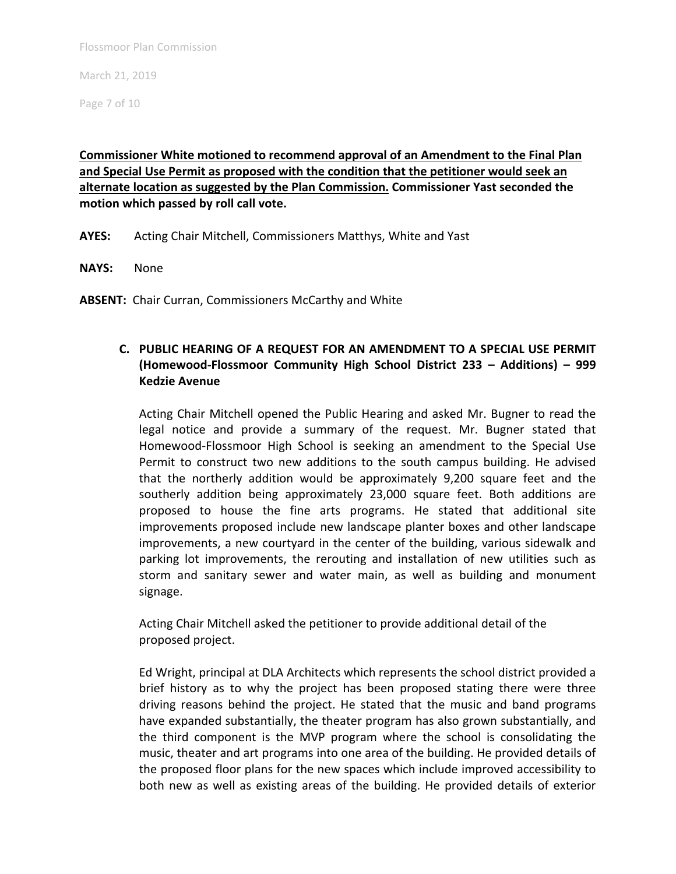March 21, 2019

Page 7 of 10

# **Commissioner White motioned to recommend approval of an Amendment to the Final Plan and Special Use Permit as proposed with the condition that the petitioner would seek an alternate location as suggested by the Plan Commission. Commissioner Yast seconded the motion which passed by roll call vote.**

**AYES:** Acting Chair Mitchell, Commissioners Matthys, White and Yast

**NAYS:** None

ABSENT: Chair Curran, Commissioners McCarthy and White

# **C. PUBLIC HEARING OF A REQUEST FOR AN AMENDMENT TO A SPECIAL USE PERMIT (Homewood‐Flossmoor Community High School District 233 – Additions) – 999 Kedzie Avenue**

Acting Chair Mitchell opened the Public Hearing and asked Mr. Bugner to read the legal notice and provide a summary of the request. Mr. Bugner stated that Homewood‐Flossmoor High School is seeking an amendment to the Special Use Permit to construct two new additions to the south campus building. He advised that the northerly addition would be approximately 9,200 square feet and the southerly addition being approximately 23,000 square feet. Both additions are proposed to house the fine arts programs. He stated that additional site improvements proposed include new landscape planter boxes and other landscape improvements, a new courtyard in the center of the building, various sidewalk and parking lot improvements, the rerouting and installation of new utilities such as storm and sanitary sewer and water main, as well as building and monument signage.

Acting Chair Mitchell asked the petitioner to provide additional detail of the proposed project.

Ed Wright, principal at DLA Architects which represents the school district provided a brief history as to why the project has been proposed stating there were three driving reasons behind the project. He stated that the music and band programs have expanded substantially, the theater program has also grown substantially, and the third component is the MVP program where the school is consolidating the music, theater and art programs into one area of the building. He provided details of the proposed floor plans for the new spaces which include improved accessibility to both new as well as existing areas of the building. He provided details of exterior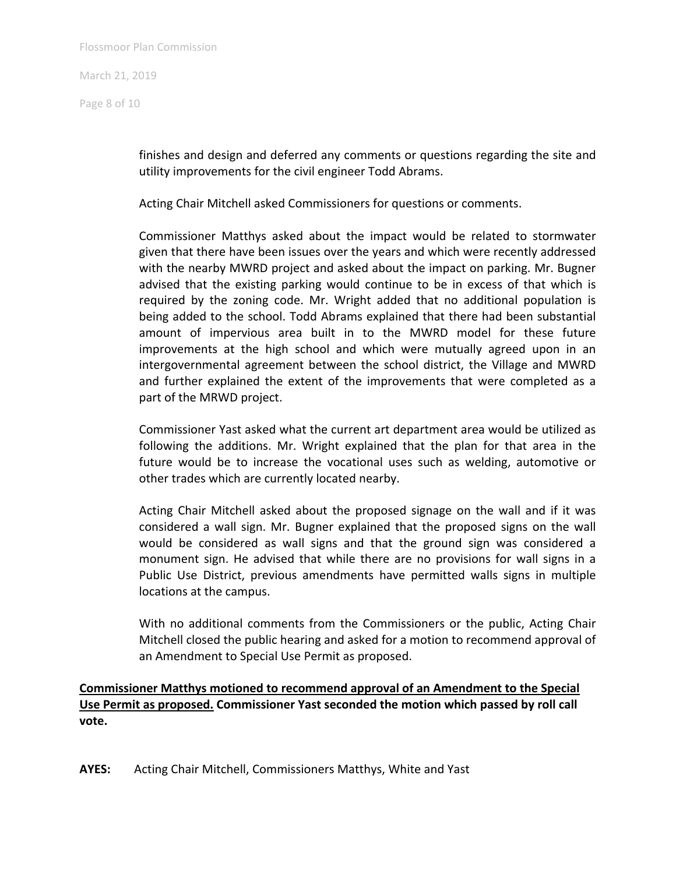Page 8 of 10

finishes and design and deferred any comments or questions regarding the site and utility improvements for the civil engineer Todd Abrams.

Acting Chair Mitchell asked Commissioners for questions or comments.

Commissioner Matthys asked about the impact would be related to stormwater given that there have been issues over the years and which were recently addressed with the nearby MWRD project and asked about the impact on parking. Mr. Bugner advised that the existing parking would continue to be in excess of that which is required by the zoning code. Mr. Wright added that no additional population is being added to the school. Todd Abrams explained that there had been substantial amount of impervious area built in to the MWRD model for these future improvements at the high school and which were mutually agreed upon in an intergovernmental agreement between the school district, the Village and MWRD and further explained the extent of the improvements that were completed as a part of the MRWD project.

Commissioner Yast asked what the current art department area would be utilized as following the additions. Mr. Wright explained that the plan for that area in the future would be to increase the vocational uses such as welding, automotive or other trades which are currently located nearby.

Acting Chair Mitchell asked about the proposed signage on the wall and if it was considered a wall sign. Mr. Bugner explained that the proposed signs on the wall would be considered as wall signs and that the ground sign was considered a monument sign. He advised that while there are no provisions for wall signs in a Public Use District, previous amendments have permitted walls signs in multiple locations at the campus.

With no additional comments from the Commissioners or the public, Acting Chair Mitchell closed the public hearing and asked for a motion to recommend approval of an Amendment to Special Use Permit as proposed.

**Commissioner Matthys motioned to recommend approval of an Amendment to the Special Use Permit as proposed. Commissioner Yast seconded the motion which passed by roll call vote.** 

**AYES:** Acting Chair Mitchell, Commissioners Matthys, White and Yast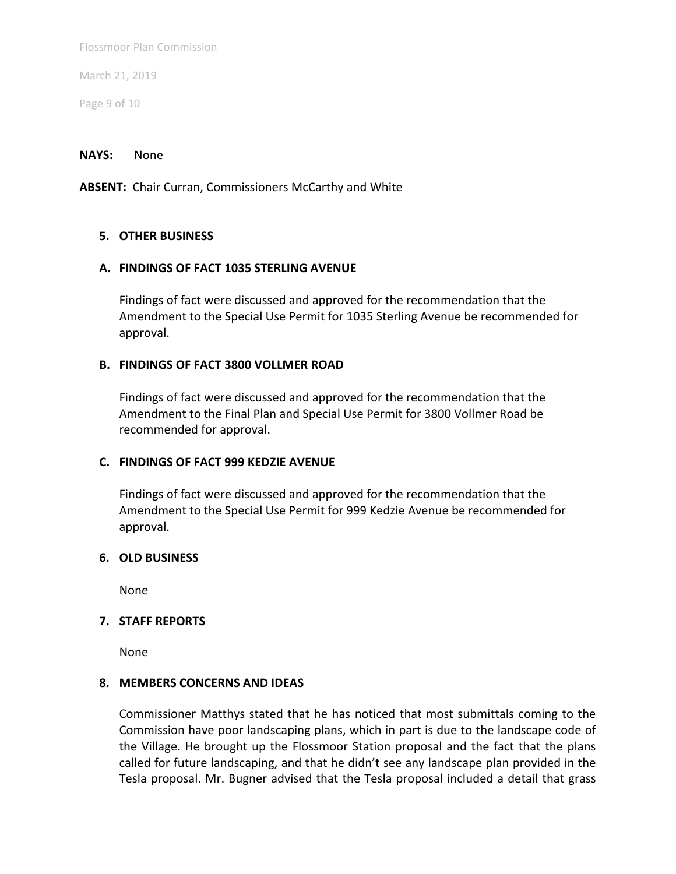March 21, 2019

Page 9 of 10

#### **NAYS:** None

**ABSENT:** Chair Curran, Commissioners McCarthy and White

### **5. OTHER BUSINESS**

### **A. FINDINGS OF FACT 1035 STERLING AVENUE**

Findings of fact were discussed and approved for the recommendation that the Amendment to the Special Use Permit for 1035 Sterling Avenue be recommended for approval.

### **B. FINDINGS OF FACT 3800 VOLLMER ROAD**

Findings of fact were discussed and approved for the recommendation that the Amendment to the Final Plan and Special Use Permit for 3800 Vollmer Road be recommended for approval.

### **C. FINDINGS OF FACT 999 KEDZIE AVENUE**

Findings of fact were discussed and approved for the recommendation that the Amendment to the Special Use Permit for 999 Kedzie Avenue be recommended for approval.

#### **6. OLD BUSINESS**

None

### **7. STAFF REPORTS**

None

#### **8. MEMBERS CONCERNS AND IDEAS**

Commissioner Matthys stated that he has noticed that most submittals coming to the Commission have poor landscaping plans, which in part is due to the landscape code of the Village. He brought up the Flossmoor Station proposal and the fact that the plans called for future landscaping, and that he didn't see any landscape plan provided in the Tesla proposal. Mr. Bugner advised that the Tesla proposal included a detail that grass